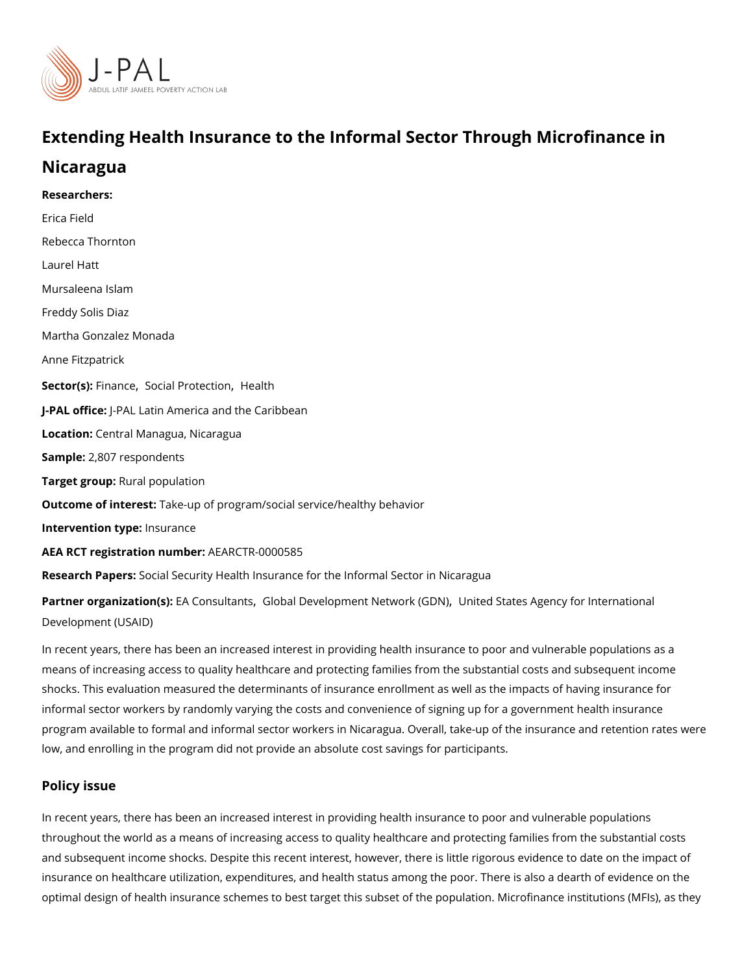# Extending Health Insurance to the Informal Sector Through

## Nicaragua

Researchers: [Erica F](https://www.povertyactionlab.org/person/field)ield [Rebecca Th](https://www.povertyactionlab.org/person/thornton)ornton Laurel Hatt Mursaleena Islam Freddy Solis Diaz Martha Gonzalez Monada Anne Fitzpatrick Sector(Fsi)nanc [Social Prot](https://www.povertyactionlab.org/sector/social-protection)[ection](https://www.povertyactionlab.org/sector/health) th J-PAL of flicPeAL Latin America and the Caribbean Location: **Central Managua, Nicaragua** Sample: 807 respondents Target gro**Rpral** population Outcome of inteleste: up of program/social service/healthy behavior Intervention typeeurance AEA RCT registration AnEuAnRbGeTR-0000585 Research Paßersal Security Health Insurance for the Informal Sector in Nicaragua Partner organizatEroAn (Cso)nsult & hobal Development Netwolom kte of DSN1 ates Agency for Internation;

[Development \(](https://www.povertyactionlab.org/partners/united-states-agency-international-development-usaid)USAID)

In recent years, there has been an increased interest in providing health insurance to poor means of increasing access to quality healthcare and protecting families from the substar shocks. This evaluation measured the determinants of insurance enrollment as well as the informal sector workers by randomly varying the costs and convenience of signing up for a program available to formal and informal sector workers in Nicaragua. Overall, take-up of low, and enrolling in the program did not provide an absolute cost savings for participant

#### Policy issue

In recent years, there has been an increased interest in providing health insurance to poor throughout the world as a means of increasing access to quality healthcare and protecting and subsequent income shocks. Despite this recent interest, however, there is little rigor insurance on healthcare utilization, expenditures, and health status among the poor. Ther optimal design of health insurance schemes to best target this subset of the population. I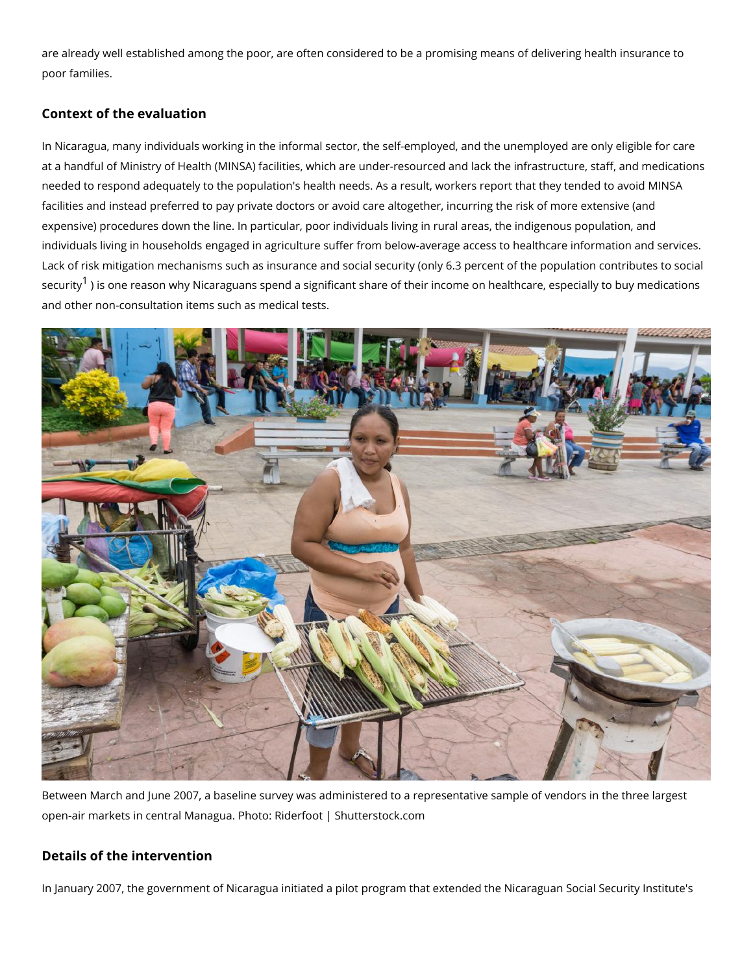are already well established among the poor, are often considered to be a promising mear poor families.

#### Context of the evaluation

In Nicaragua, many individuals working in the informal sector, the self-employed, and the at a handful of Ministry of Health (MINSA) facilities, which are under-resourced and lack needed to respond adequately to the population's health needs. As a result, workers repo facilities and instead preferred to pay private doctors or avoid care altogether, incurring expensive) procedures down the line. In particular, poor individuals living in rural areas, individuals living in households engaged in agriculture suffer from below-average access Lack of risk mitigation mechanisms such as insurance and social security (only 6.3 percent security is one reason why Nicaraguans spend a significant share of their income on healt and other non-consultation items such as medical tests.

Between March and June 2007, a baseline survey was administered to a representative sa open-air markets in central Managua. Photo: Riderfoot | Shutterstock.com

Details of the intervention

In January 2007, the government of Nicaragua initiated a pilot program that extended the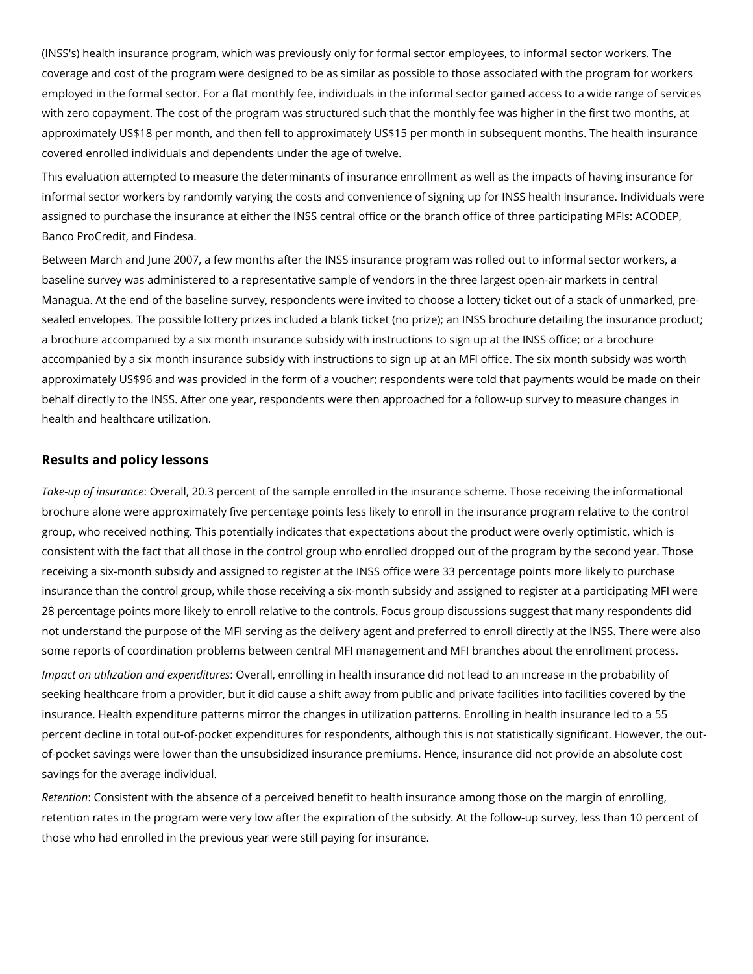(INSS's) health insurance program, which was previously only for formal sector employees, to informal sector workers. The coverage and cost of the program were designed to be as similar as possible to those associated with the program for workers employed in the formal sector. For a flat monthly fee, individuals in the informal sector gained access to a wide range of services with zero copayment. The cost of the program was structured such that the monthly fee was higher in the first two months, at approximately US\$18 per month, and then fell to approximately US\$15 per month in subsequent months. The health insurance covered enrolled individuals and dependents under the age of twelve.

This evaluation attempted to measure the determinants of insurance enrollment as well as the impacts of having insurance for informal sector workers by randomly varying the costs and convenience of signing up for INSS health insurance. Individuals were assigned to purchase the insurance at either the INSS central office or the branch office of three participating MFIs: ACODEP, Banco ProCredit, and Findesa.

Between March and June 2007, a few months after the INSS insurance program was rolled out to informal sector workers, a baseline survey was administered to a representative sample of vendors in the three largest open-air markets in central Managua. At the end of the baseline survey, respondents were invited to choose a lottery ticket out of a stack of unmarked, presealed envelopes. The possible lottery prizes included a blank ticket (no prize); an INSS brochure detailing the insurance product; a brochure accompanied by a six month insurance subsidy with instructions to sign up at the INSS office; or a brochure accompanied by a six month insurance subsidy with instructions to sign up at an MFI office. The six month subsidy was worth approximately US\$96 and was provided in the form of a voucher; respondents were told that payments would be made on their behalf directly to the INSS. After one year, respondents were then approached for a follow-up survey to measure changes in health and healthcare utilization.

### **Results and policy lessons**

*Take-up of insurance*: Overall, 20.3 percent of the sample enrolled in the insurance scheme. Those receiving the informational brochure alone were approximately five percentage points less likely to enroll in the insurance program relative to the control group, who received nothing. This potentially indicates that expectations about the product were overly optimistic, which is consistent with the fact that all those in the control group who enrolled dropped out of the program by the second year. Those receiving a six-month subsidy and assigned to register at the INSS office were 33 percentage points more likely to purchase insurance than the control group, while those receiving a six-month subsidy and assigned to register at a participating MFI were 28 percentage points more likely to enroll relative to the controls. Focus group discussions suggest that many respondents did not understand the purpose of the MFI serving as the delivery agent and preferred to enroll directly at the INSS. There were also some reports of coordination problems between central MFI management and MFI branches about the enrollment process.

*Impact on utilization and expenditures*: Overall, enrolling in health insurance did not lead to an increase in the probability of seeking healthcare from a provider, but it did cause a shift away from public and private facilities into facilities covered by the insurance. Health expenditure patterns mirror the changes in utilization patterns. Enrolling in health insurance led to a 55 percent decline in total out-of-pocket expenditures for respondents, although this is not statistically significant. However, the outof-pocket savings were lower than the unsubsidized insurance premiums. Hence, insurance did not provide an absolute cost savings for the average individual.

*Retention*: Consistent with the absence of a perceived benefit to health insurance among those on the margin of enrolling, retention rates in the program were very low after the expiration of the subsidy. At the follow-up survey, less than 10 percent of those who had enrolled in the previous year were still paying for insurance.